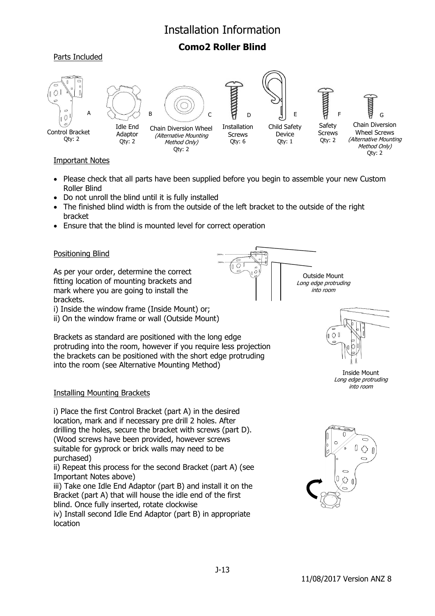## Installation Information

### **Como2 Roller Blind**





#### Important Notes

- Please check that all parts have been supplied before you begin to assemble your new Custom Roller Blind
- Do not unroll the blind until it is fully installed
- The finished blind width is from the outside of the left bracket to the outside of the right bracket
- Ensure that the blind is mounted level for correct operation

#### Positioning Blind

As per your order, determine the correct fitting location of mounting brackets and mark where you are going to install the brackets. i) Inside the window frame (Inside Mount) or;

ii) On the window frame or wall (Outside Mount)

into the room (see Alternative Mounting Method)

Brackets as standard are positioned with the long edge

protruding into the room, however if you require less projection the brackets can be positioned with the short edge protruding



Long edge protruding



Inside Mount Long edge protruding into room

#### Installing Mounting Brackets

i) Place the first Control Bracket (part A) in the desired location, mark and if necessary pre drill 2 holes. After drilling the holes, secure the bracket with screws (part D). (Wood screws have been provided, however screws suitable for gyprock or brick walls may need to be purchased)

ii) Repeat this process for the second Bracket (part A) (see Important Notes above)

iii) Take one Idle End Adaptor (part B) and install it on the Bracket (part A) that will house the idle end of the first blind. Once fully inserted, rotate clockwise

iv) Install second Idle End Adaptor (part B) in appropriate location

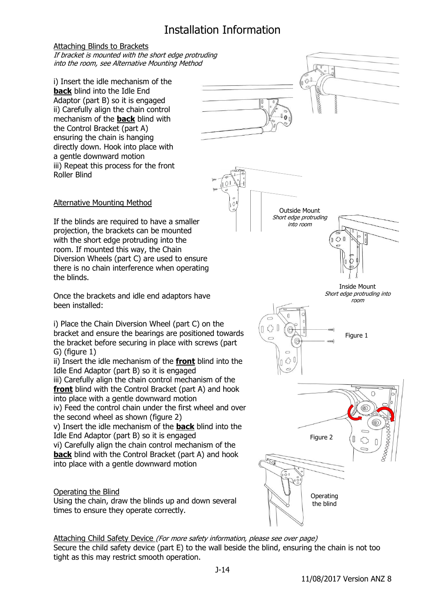# Installation Information

#### Attaching Blinds to Brackets

If bracket is mounted with the short edge protruding into the room, see Alternative Mounting Method

i) Insert the idle mechanism of the **back** blind into the Idle End Adaptor (part B) so it is engaged ii) Carefully align the chain control mechanism of the **back** blind with the Control Bracket (part A) ensuring the chain is hanging directly down. Hook into place with a gentle downward motion iii) Repeat this process for the front Roller Blind





#### Alternative Mounting Method

If the blinds are required to have a smaller projection, the brackets can be mounted with the short edge protruding into the room. If mounted this way, the Chain Diversion Wheels (part C) are used to ensure there is no chain interference when operating the blinds.

Once the brackets and idle end adaptors have been installed:

i) Place the Chain Diversion Wheel (part C) on the bracket and ensure the bearings are positioned towards the bracket before securing in place with screws (part G) (figure 1)

ii) Insert the idle mechanism of the **front** blind into the Idle End Adaptor (part B) so it is engaged iii) Carefully align the chain control mechanism of the

**front** blind with the Control Bracket (part A) and hook into place with a gentle downward motion iv) Feed the control chain under the first wheel and over the second wheel as shown (figure 2)

v) Insert the idle mechanism of the **back** blind into the Idle End Adaptor (part B) so it is engaged

vi) Carefully align the chain control mechanism of the **back** blind with the Control Bracket (part A) and hook into place with a gentle downward motion

#### Operating the Blind

Using the chain, draw the blinds up and down several times to ensure they operate correctly.



Attaching Child Safety Device (For more safety information, please see over page) Secure the child safety device (part E) to the wall beside the blind, ensuring the chain is not too tight as this may restrict smooth operation.